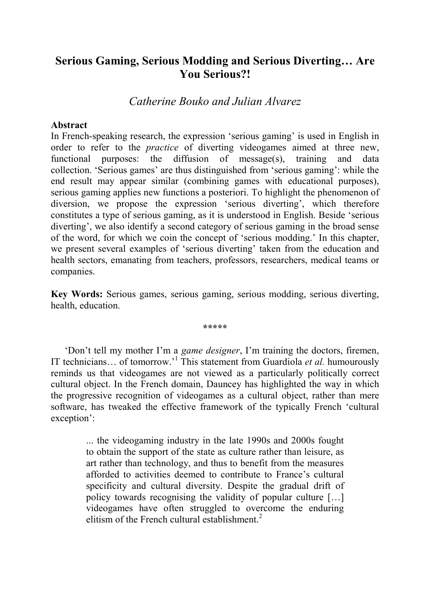## **Serious Gaming, Serious Modding and Serious Diverting… Are You Serious?!**

*Catherine Bouko and Julian Alvarez* 

#### **Abstract**

In French-speaking research, the expression 'serious gaming' is used in English in order to refer to the *practice* of diverting videogames aimed at three new, functional purposes: the diffusion of message(s), training and data collection. 'Serious games' are thus distinguished from 'serious gaming': while the end result may appear similar (combining games with educational purposes), serious gaming applies new functions a posteriori. To highlight the phenomenon of diversion, we propose the expression 'serious diverting', which therefore constitutes a type of serious gaming, as it is understood in English. Beside 'serious diverting', we also identify a second category of serious gaming in the broad sense of the word, for which we coin the concept of 'serious modding.' In this chapter, we present several examples of 'serious diverting' taken from the education and health sectors, emanating from teachers, professors, researchers, medical teams or companies.

**Key Words:** Serious games, serious gaming, serious modding, serious diverting, health, education.

**\*\*\*\*\***

'Don't tell my mother I'm a *game designer*, I'm training the doctors, firemen, IT technicians... of tomorrow.<sup>1</sup> This statement from Guardiola *et al.* humourously reminds us that videogames are not viewed as a particularly politically correct cultural object. In the French domain, Dauncey has highlighted the way in which the progressive recognition of videogames as a cultural object, rather than mere software, has tweaked the effective framework of the typically French 'cultural exception':

> ... the videogaming industry in the late 1990s and 2000s fought to obtain the support of the state as culture rather than leisure, as art rather than technology, and thus to benefit from the measures afforded to activities deemed to contribute to France's cultural specificity and cultural diversity. Despite the gradual drift of policy towards recognising the validity of popular culture […] videogames have often struggled to overcome the enduring elitism of the French cultural establishment. $2$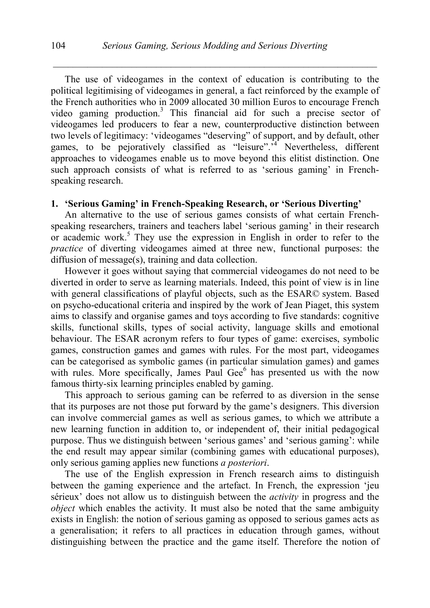The use of videogames in the context of education is contributing to the political legitimising of videogames in general, a fact reinforced by the example of the French authorities who in 2009 allocated 30 million Euros to encourage French video gaming production.<sup>3</sup> This financial aid for such a precise sector of videogames led producers to fear a new, counterproductive distinction between two levels of legitimacy: 'videogames "deserving" of support, and by default, other games, to be pejoratively classified as "leisure".<sup>4</sup> Nevertheless, different approaches to videogames enable us to move beyond this elitist distinction. One such approach consists of what is referred to as 'serious gaming' in Frenchspeaking research.

#### **1. 'Serious Gaming' in French-Speaking Research, or 'Serious Diverting'**

An alternative to the use of serious games consists of what certain Frenchspeaking researchers, trainers and teachers label 'serious gaming' in their research or academic work.<sup>5</sup> They use the expression in English in order to refer to the *practice* of diverting videogames aimed at three new, functional purposes: the diffusion of message(s), training and data collection.

However it goes without saying that commercial videogames do not need to be diverted in order to serve as learning materials. Indeed, this point of view is in line with general classifications of playful objects, such as the ESAR© system. Based on psycho-educational criteria and inspired by the work of Jean Piaget, this system aims to classify and organise games and toys according to five standards: cognitive skills, functional skills, types of social activity, language skills and emotional behaviour. The ESAR acronym refers to four types of game: exercises, symbolic games, construction games and games with rules. For the most part, videogames can be categorised as symbolic games (in particular simulation games) and games with rules. More specifically, James Paul  $\text{Ge}e^6$  has presented us with the now famous thirty-six learning principles enabled by gaming.

This approach to serious gaming can be referred to as diversion in the sense that its purposes are not those put forward by the game's designers. This diversion can involve commercial games as well as serious games, to which we attribute a new learning function in addition to, or independent of, their initial pedagogical purpose. Thus we distinguish between 'serious games' and 'serious gaming': while the end result may appear similar (combining games with educational purposes), only serious gaming applies new functions *a posteriori*.

The use of the English expression in French research aims to distinguish between the gaming experience and the artefact. In French, the expression 'jeu sérieux' does not allow us to distinguish between the *activity* in progress and the *object* which enables the activity. It must also be noted that the same ambiguity exists in English: the notion of serious gaming as opposed to serious games acts as a generalisation; it refers to all practices in education through games, without distinguishing between the practice and the game itself. Therefore the notion of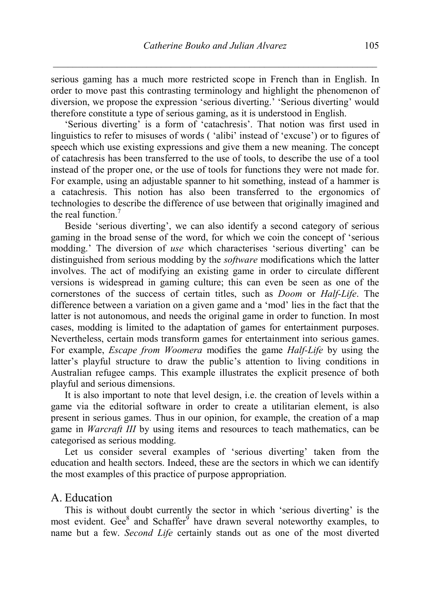serious gaming has a much more restricted scope in French than in English. In order to move past this contrasting terminology and highlight the phenomenon of diversion, we propose the expression 'serious diverting.' 'Serious diverting' would therefore constitute a type of serious gaming, as it is understood in English.

'Serious diverting' is a form of 'catachresis'. That notion was first used in linguistics to refer to misuses of words ( 'alibi' instead of 'excuse') or to figures of speech which use existing expressions and give them a new meaning. The concept of catachresis has been transferred to the use of tools, to describe the use of a tool instead of the proper one, or the use of tools for functions they were not made for. For example, using an adjustable spanner to hit something, instead of a hammer is a catachresis. This notion has also been transferred to the ergonomics of technologies to describe the difference of use between that originally imagined and the real function. 7

Beside 'serious diverting', we can also identify a second category of serious gaming in the broad sense of the word, for which we coin the concept of 'serious modding.' The diversion of *use* which characterises 'serious diverting' can be distinguished from serious modding by the *software* modifications which the latter involves. The act of modifying an existing game in order to circulate different versions is widespread in gaming culture; this can even be seen as one of the cornerstones of the success of certain titles, such as *Doom* or *Half-Life*. The difference between a variation on a given game and a 'mod' lies in the fact that the latter is not autonomous, and needs the original game in order to function. In most cases, modding is limited to the adaptation of games for entertainment purposes. Nevertheless, certain mods transform games for entertainment into serious games. For example, *Escape from Woomera* modifies the game *Half-Life* by using the latter's playful structure to draw the public's attention to living conditions in Australian refugee camps. This example illustrates the explicit presence of both playful and serious dimensions.

It is also important to note that level design, i.e. the creation of levels within a game via the editorial software in order to create a utilitarian element, is also present in serious games. Thus in our opinion, for example, the creation of a map game in *Warcraft III* by using items and resources to teach mathematics, can be categorised as serious modding.

Let us consider several examples of 'serious diverting' taken from the education and health sectors. Indeed, these are the sectors in which we can identify the most examples of this practice of purpose appropriation.

### A. Education

This is without doubt currently the sector in which 'serious diverting' is the most evident. Gee $<sup>8</sup>$  and Schaffer<sup> $<sup>9</sup>$ </sup> have drawn several noteworthy examples, to</sup></sup> name but a few. *Second Life* certainly stands out as one of the most diverted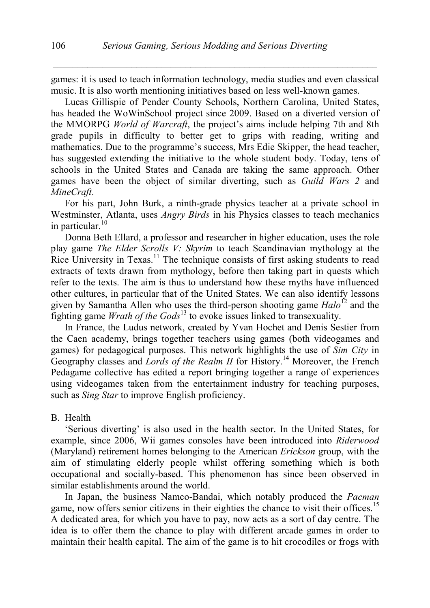games: it is used to teach information technology, media studies and even classical music. It is also worth mentioning initiatives based on less well-known games.

Lucas Gillispie of Pender County Schools, Northern Carolina, United States, has headed the WoWinSchool project since 2009. Based on a diverted version of the MMORPG *World of Warcraft*, the project's aims include helping 7th and 8th grade pupils in difficulty to better get to grips with reading, writing and mathematics. Due to the programme's success, Mrs Edie Skipper, the head teacher, has suggested extending the initiative to the whole student body. Today, tens of schools in the United States and Canada are taking the same approach. Other games have been the object of similar diverting, such as *Guild Wars 2* and *MineCraft*.

For his part, John Burk, a ninth-grade physics teacher at a private school in Westminster, Atlanta, uses *Angry Birds* in his Physics classes to teach mechanics in particular. 10

Donna Beth Ellard, a professor and researcher in higher education, uses the role play game *The Elder Scrolls V: Skyrim* to teach Scandinavian mythology at the Rice University in Texas.<sup>11</sup> The technique consists of first asking students to read extracts of texts drawn from mythology, before then taking part in quests which refer to the texts. The aim is thus to understand how these myths have influenced other cultures, in particular that of the United States. We can also identify lessons given by Samantha Allen who uses the third-person shooting game *Halo*<sup>12</sup> and the fighting game *Wrath of the Gods*<sup>13</sup> to evoke issues linked to transexuality.

In France, the Ludus network, created by Yvan Hochet and Denis Sestier from the Caen academy, brings together teachers using games (both videogames and games) for pedagogical purposes. This network highlights the use of *Sim City* in Geography classes and *Lords of the Realm II* for History.<sup>14</sup> Moreover, the French Pedagame collective has edited a report bringing together a range of experiences using videogames taken from the entertainment industry for teaching purposes, such as *Sing Star* to improve English proficiency.

#### B. Health

'Serious diverting' is also used in the health sector. In the United States, for example, since 2006, Wii games consoles have been introduced into *Riderwood* (Maryland) retirement homes belonging to the American *Erickson* group, with the aim of stimulating elderly people whilst offering something which is both occupational and socially-based. This phenomenon has since been observed in similar establishments around the world.

In Japan, the business Namco-Bandai, which notably produced the *Pacman* game, now offers senior citizens in their eighties the chance to visit their offices.<sup>15</sup> A dedicated area, for which you have to pay, now acts as a sort of day centre. The idea is to offer them the chance to play with different arcade games in order to maintain their health capital. The aim of the game is to hit crocodiles or frogs with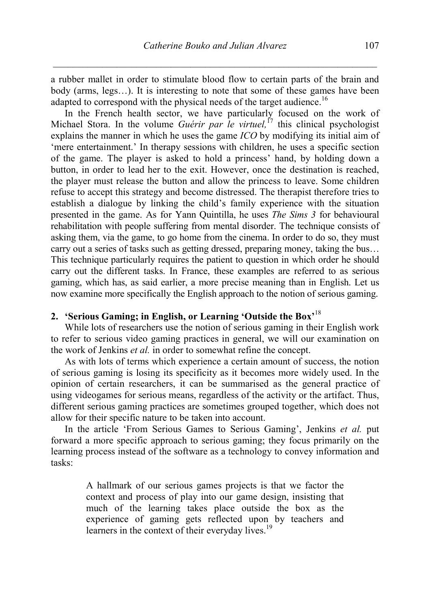a rubber mallet in order to stimulate blood flow to certain parts of the brain and body (arms, legs…). It is interesting to note that some of these games have been adapted to correspond with the physical needs of the target audience.<sup>16</sup>

In the French health sector, we have particularly focused on the work of Michael Stora. In the volume *Guérir par le virtuel*,<sup>17</sup> this clinical psychologist explains the manner in which he uses the game *ICO* by modifying its initial aim of 'mere entertainment.' In therapy sessions with children, he uses a specific section of the game. The player is asked to hold a princess' hand, by holding down a button, in order to lead her to the exit. However, once the destination is reached, the player must release the button and allow the princess to leave. Some children refuse to accept this strategy and become distressed. The therapist therefore tries to establish a dialogue by linking the child's family experience with the situation presented in the game. As for Yann Quintilla, he uses *The Sims 3* for behavioural rehabilitation with people suffering from mental disorder. The technique consists of asking them, via the game, to go home from the cinema. In order to do so, they must carry out a series of tasks such as getting dressed, preparing money, taking the bus… This technique particularly requires the patient to question in which order he should carry out the different tasks. In France, these examples are referred to as serious gaming, which has, as said earlier, a more precise meaning than in English. Let us now examine more specifically the English approach to the notion of serious gaming.

## **2. 'Serious Gaming; in English, or Learning 'Outside the Box'** 18

While lots of researchers use the notion of serious gaming in their English work to refer to serious video gaming practices in general, we will our examination on the work of Jenkins *et al.* in order to somewhat refine the concept.

As with lots of terms which experience a certain amount of success, the notion of serious gaming is losing its specificity as it becomes more widely used. In the opinion of certain researchers, it can be summarised as the general practice of using videogames for serious means, regardless of the activity or the artifact. Thus, different serious gaming practices are sometimes grouped together, which does not allow for their specific nature to be taken into account.

In the article 'From Serious Games to Serious Gaming', Jenkins *et al.* put forward a more specific approach to serious gaming; they focus primarily on the learning process instead of the software as a technology to convey information and tasks:

> A hallmark of our serious games projects is that we factor the context and process of play into our game design, insisting that much of the learning takes place outside the box as the experience of gaming gets reflected upon by teachers and learners in the context of their everyday lives.<sup>19</sup>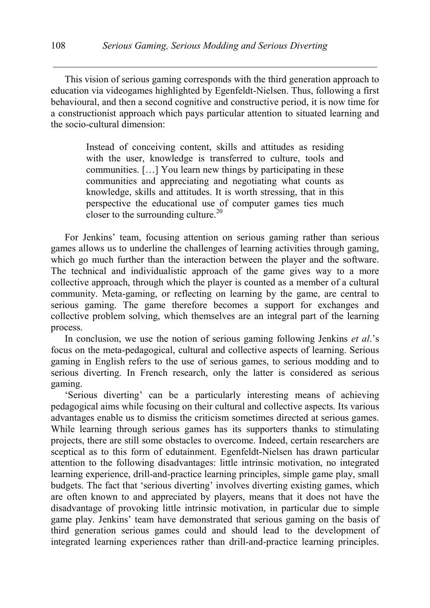This vision of serious gaming corresponds with the third generation approach to education via videogames highlighted by Egenfeldt-Nielsen. Thus, following a first behavioural, and then a second cognitive and constructive period, it is now time for a constructionist approach which pays particular attention to situated learning and the socio-cultural dimension:

> Instead of conceiving content, skills and attitudes as residing with the user, knowledge is transferred to culture, tools and communities. […] You learn new things by participating in these communities and appreciating and negotiating what counts as knowledge, skills and attitudes. It is worth stressing, that in this perspective the educational use of computer games ties much closer to the surrounding culture.<sup>20</sup>

For Jenkins' team, focusing attention on serious gaming rather than serious games allows us to underline the challenges of learning activities through gaming, which go much further than the interaction between the player and the software. The technical and individualistic approach of the game gives way to a more collective approach, through which the player is counted as a member of a cultural community. Meta-gaming, or reflecting on learning by the game, are central to serious gaming. The game therefore becomes a support for exchanges and collective problem solving, which themselves are an integral part of the learning process.

In conclusion, we use the notion of serious gaming following Jenkins *et al*.'s focus on the meta-pedagogical, cultural and collective aspects of learning. Serious gaming in English refers to the use of serious games, to serious modding and to serious diverting. In French research, only the latter is considered as serious gaming.

'Serious diverting' can be a particularly interesting means of achieving pedagogical aims while focusing on their cultural and collective aspects. Its various advantages enable us to dismiss the criticism sometimes directed at serious games. While learning through serious games has its supporters thanks to stimulating projects, there are still some obstacles to overcome. Indeed, certain researchers are sceptical as to this form of edutainment. Egenfeldt-Nielsen has drawn particular attention to the following disadvantages: little intrinsic motivation, no integrated learning experience, drill-and-practice learning principles, simple game play, small budgets. The fact that 'serious diverting' involves diverting existing games, which are often known to and appreciated by players, means that it does not have the disadvantage of provoking little intrinsic motivation, in particular due to simple game play. Jenkins' team have demonstrated that serious gaming on the basis of third generation serious games could and should lead to the development of integrated learning experiences rather than drill-and-practice learning principles.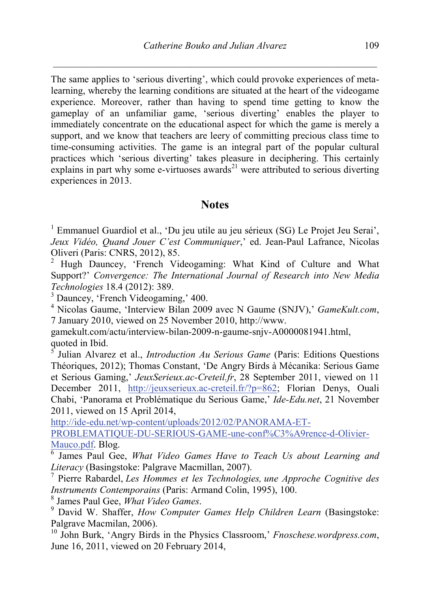The same applies to 'serious diverting', which could provoke experiences of metalearning, whereby the learning conditions are situated at the heart of the videogame experience. Moreover, rather than having to spend time getting to know the gameplay of an unfamiliar game, 'serious diverting' enables the player to immediately concentrate on the educational aspect for which the game is merely a support, and we know that teachers are leery of committing precious class time to time-consuming activities. The game is an integral part of the popular cultural practices which 'serious diverting' takes pleasure in deciphering. This certainly explains in part why some e-virtuoses awards<sup>21</sup> were attributed to serious diverting experiences in 2013.

### **Notes**

<sup>1</sup> Emmanuel Guardiol et al., 'Du jeu utile au jeu sérieux (SG) Le Projet Jeu Serai', *Jeux Vidéo, Quand Jouer C'est Communiquer*,' ed. Jean-Paul Lafrance, Nicolas Oliveri (Paris: CNRS, 2012), 85.

<sup>2</sup> Hugh Dauncey, 'French Videogaming: What Kind of Culture and What Support?' *Convergence: The International Journal of Research into New Media Technologies* 18.4 (2012): 389.

<sup>3</sup> Dauncey, 'French Videogaming,' 400.

<sup>4</sup> Nicolas Gaume, 'Interview Bilan 2009 avec N Gaume (SNJV),' *GameKult.com*, 7 January 2010, viewed on 25 November 2010, http://www.

gamekult.com/actu/interview-bilan-2009-n-gaume-snjv-A0000081941.html, quoted in Ibid.

<sup>5</sup> Julian Alvarez et al., *Introduction Au Serious Game* (Paris: Editions Questions Théoriques, 2012); Thomas Constant, 'De Angry Birds à Mécanika: Serious Game et Serious Gaming,' *JeuxSerieux.ac-Creteil.fr*, 28 September 2011, viewed on 11 December 2011, http://jeuxserieux.ac-creteil.fr/?p=862; Florian Denys, Ouali Chabi, 'Panorama et Problématique du Serious Game,' *Ide-Edu.net*, 21 November 2011, viewed on 15 April 2014,

http://ide-edu.net/wp-content/uploads/2012/02/PANORAMA-ET-PROBLEMATIQUE-DU-SERIOUS-GAME-une-conf%C3%A9rence-d-Olivier-Mauco.pdf. Blog.

<sup>6</sup> James Paul Gee, *What Video Games Have to Teach Us about Learning and Literacy* (Basingstoke: Palgrave Macmillan, 2007).

<sup>7</sup> Pierre Rabardel, *Les Hommes et les Technologies, une Approche Cognitive des Instruments Contemporains* (Paris: Armand Colin, 1995), 100.<br><sup>8</sup> James Paul Gee, *What Video Games*.

<sup>9</sup> David W. Shaffer, *How Computer Games Help Children Learn* (Basingstoke: Palgrave Macmilan, 2006).

<sup>10</sup> John Burk, 'Angry Birds in the Physics Classroom,' *Fnoschese.wordpress.com*, June 16, 2011, viewed on 20 February 2014,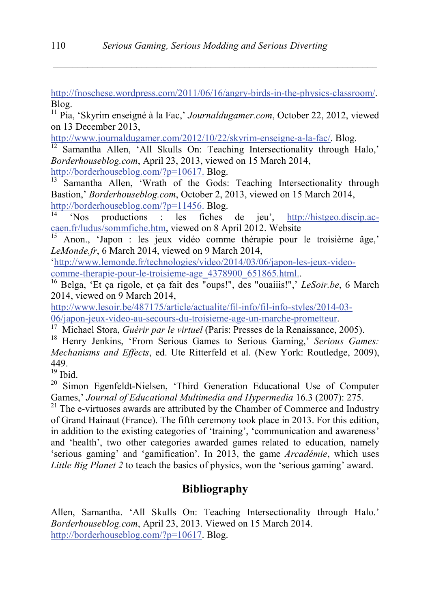http://fnoschese.wordpress.com/2011/06/16/angry-birds-in-the-physics-classroom/. Blog.

<sup>11</sup> Pia, 'Skyrim enseigné à la Fac,' *Journaldugamer.com*, October 22, 2012, viewed on 13 December 2013,

http://www.journaldugamer.com/2012/10/22/skyrim-enseigne-a-la-fac/. Blog.

Samantha Allen, 'All Skulls On: Teaching Intersectionality through Halo,' *Borderhouseblog.com*, April 23, 2013, viewed on 15 March 2014,

 $\frac{\text{http://borderhouseblog.com/?p=10617}}{13}$  Samantha Allen 'Wrath of the Gods' Samantha Allen, 'Wrath of the Gods: Teaching Intersectionality through Bastion,' *Borderhouseblog.com*, October 2, 2013, viewed on 15 March 2014, http://borderhouseblog.com/?p=11456. Blog.

<sup>14</sup> 'Nos productions : les fiches de jeu', http://histgeo.discip.accaen.fr/ludus/sommfiche.htm, viewed on 8 April 2012. Website

<sup>15</sup> Anon., 'Japon : les jeux vidéo comme thérapie pour le troisième âge,' *LeMonde.fr*, 6 March 2014, viewed on 9 March 2014,

'http://www.lemonde.fr/technologies/video/2014/03/06/japon-les-jeux-videocomme-therapie-pour-le-troisieme-age\_4378900\_651865.html.. 16 Belga, 'Et ça rigole, et ça fait des "oups!", des "ouaiiis!",' *LeSoir.be*, 6 March

2014, viewed on 9 March 2014,

http://www.lesoir.be/487175/article/actualite/fil-info/fil-info-styles/2014-03- 06/japon-jeux-video-au-secours-du-troisieme-age-un-marche-prometteur. 17 Michael Stora, *Guérir par le virtuel* (Paris: Presses de la Renaissance, 2005).

<sup>18</sup> Henry Jenkins, 'From Serious Games to Serious Gaming,' *Serious Games: Mechanisms and Effects*, ed. Ute Ritterfeld et al. (New York: Routledge, 2009), 449.

 $19$  Ibid.

<sup>20</sup> Simon Egenfeldt-Nielsen, 'Third Generation Educational Use of Computer Games,' *Journal of Educational Multimedia and Hypermedia* 16.3 (2007): 275.

 $21$  The e-virtuoses awards are attributed by the Chamber of Commerce and Industry of Grand Hainaut (France). The fifth ceremony took place in 2013. For this edition, in addition to the existing categories of 'training', 'communication and awareness' and 'health', two other categories awarded games related to education, namely 'serious gaming' and 'gamification'. In 2013, the game *Arcadémie*, which uses *Little Big Planet 2* to teach the basics of physics, won the 'serious gaming' award.

# **Bibliography**

Allen, Samantha. 'All Skulls On: Teaching Intersectionality through Halo.' *Borderhouseblog.com*, April 23, 2013. Viewed on 15 March 2014. http://borderhouseblog.com/?p=10617. Blog.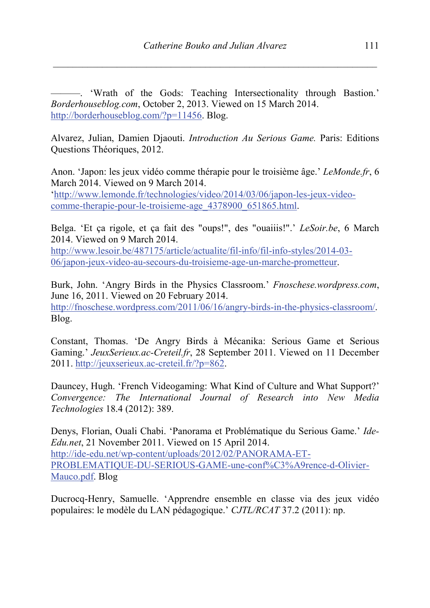———. 'Wrath of the Gods: Teaching Intersectionality through Bastion.' *Borderhouseblog.com*, October 2, 2013. Viewed on 15 March 2014. http://borderhouseblog.com/?p=11456. Blog.

Alvarez, Julian, Damien Djaouti. *Introduction Au Serious Game.* Paris: Editions Questions Théoriques, 2012.

Anon. 'Japon: les jeux vidéo comme thérapie pour le troisième âge.' *LeMonde.fr*, 6 March 2014. Viewed on 9 March 2014.

'http://www.lemonde.fr/technologies/video/2014/03/06/japon-les-jeux-videocomme-therapie-pour-le-troisieme-age\_4378900\_651865.html.

Belga. 'Et ça rigole, et ça fait des "oups!", des "ouaiiis!".' *LeSoir.be*, 6 March 2014. Viewed on 9 March 2014.

http://www.lesoir.be/487175/article/actualite/fil-info/fil-info-styles/2014-03- 06/japon-jeux-video-au-secours-du-troisieme-age-un-marche-prometteur.

Burk, John. 'Angry Birds in the Physics Classroom.' *Fnoschese.wordpress.com*, June 16, 2011. Viewed on 20 February 2014. http://fnoschese.wordpress.com/2011/06/16/angry-birds-in-the-physics-classroom/. Blog.

Constant, Thomas. 'De Angry Birds à Mécanika: Serious Game et Serious Gaming.' *JeuxSerieux.ac-Creteil.fr*, 28 September 2011. Viewed on 11 December 2011. http://jeuxserieux.ac-creteil.fr/?p=862.

Dauncey, Hugh. 'French Videogaming: What Kind of Culture and What Support?' *Convergence: The International Journal of Research into New Media Technologies* 18.4 (2012): 389.

Denys, Florian, Ouali Chabi. 'Panorama et Problématique du Serious Game.' *Ide-Edu.net*, 21 November 2011. Viewed on 15 April 2014. http://ide-edu.net/wp-content/uploads/2012/02/PANORAMA-ET-PROBLEMATIQUE-DU-SERIOUS-GAME-une-conf%C3%A9rence-d-Olivier-Mauco.pdf. Blog

Ducrocq-Henry, Samuelle. 'Apprendre ensemble en classe via des jeux vidéo populaires: le modèle du LAN pédagogique.' *CJTL/RCAT* 37.2 (2011): np.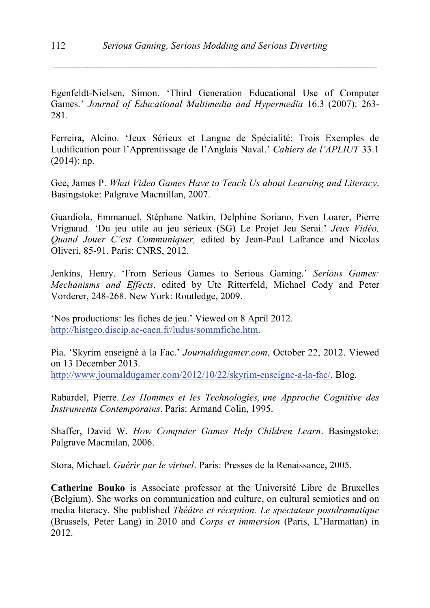Egenfeldt-Nielsen, Simon. 'Third Generation Educational Use of Computer Games.' *Journal of Educational Multimedia and Hypermedia* 16.3 (2007): 263- 281.

*\_\_\_\_\_\_\_\_\_\_\_\_\_\_\_\_\_\_\_\_\_\_\_\_\_\_\_\_\_\_\_\_\_\_\_\_\_\_\_\_\_\_\_\_\_\_\_\_\_\_\_\_\_\_\_\_\_\_\_\_\_\_\_\_\_\_*

Ferreira, Alcino. 'Jeux Sérieux et Langue de Spécialité: Trois Exemples de Ludification pour l'Apprentissage de l'Anglais Naval.' *Cahiers de l'APLIUT* 33.1 (2014): np.

Gee, James P. *What Video Games Have to Teach Us about Learning and Literacy*. Basingstoke: Palgrave Macmillan, 2007.

Guardiola, Emmanuel, Stéphane Natkin, Delphine Soriano, Even Loarer, Pierre Vrignaud. 'Du jeu utile au jeu sérieux (SG) Le Projet Jeu Serai.' *Jeux Vidéo, Quand Jouer C'est Communiquer,* edited by Jean-Paul Lafrance and Nicolas Oliveri, 85-91. Paris: CNRS, 2012.

Jenkins, Henry. 'From Serious Games to Serious Gaming.' *Serious Games: Mechanisms and Effects*, edited by Ute Ritterfeld, Michael Cody and Peter Vorderer, 248-268. New York: Routledge, 2009.

'Nos productions: les fiches de jeu.' Viewed on 8 April 2012. http://histgeo.discip.ac-caen.fr/ludus/sommfiche.htm.

Pia. 'Skyrim enseigné à la Fac.' *Journaldugamer.com*, October 22, 2012. Viewed on 13 December 2013. http://www.journaldugamer.com/2012/10/22/skyrim-enseigne-a-la-fac/. Blog.

Rabardel, Pierre. *Les Hommes et les Technologies, une Approche Cognitive des Instruments Contemporains*. Paris: Armand Colin, 1995.

Shaffer, David W. *How Computer Games Help Children Learn*. Basingstoke: Palgrave Macmilan, 2006.

Stora, Michael. *Guérir par le virtuel*. Paris: Presses de la Renaissance, 2005.

**Catherine Bouko** is Associate professor at the Université Libre de Bruxelles (Belgium). She works on communication and culture, on cultural semiotics and on media literacy. She published *Théâtre et réception. Le spectateur postdramatique* (Brussels, Peter Lang) in 2010 and *Corps et immersion* (Paris, L'Harmattan) in 2012.